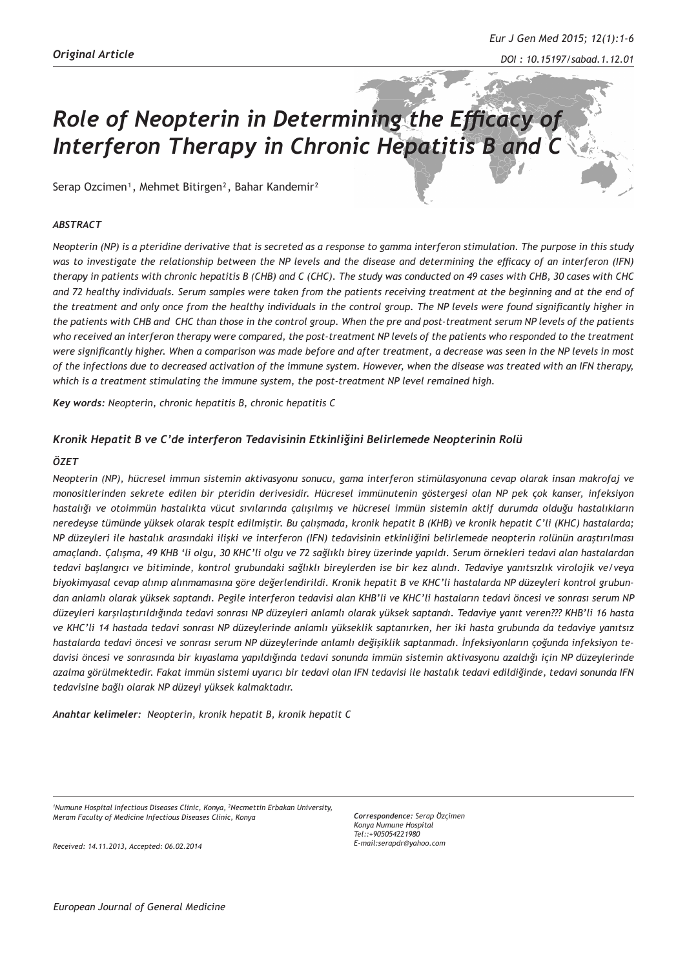# *Role of Neopterin in Determining the Efficacy of Interferon Therapy in Chronic Hepatitis B and C*

Serap Ozcimen<sup>1</sup>, Mehmet Bitirgen<sup>2</sup>, Bahar Kandemir<sup>2</sup>

## *ABSTRACT*

*Neopterin (NP) is a pteridine derivative that is secreted as a response to gamma interferon stimulation. The purpose in this study was to investigate the relationship between the NP levels and the disease and determining the efficacy of an interferon (IFN) therapy in patients with chronic hepatitis B (CHB) and C (CHC). The study was conducted on 49 cases with CHB, 30 cases with CHC and 72 healthy individuals. Serum samples were taken from the patients receiving treatment at the beginning and at the end of the treatment and only once from the healthy individuals in the control group. The NP levels were found significantly higher in the patients with CHB and CHC than those in the control group. When the pre and post-treatment serum NP levels of the patients who received an interferon therapy were compared, the post-treatment NP levels of the patients who responded to the treatment were significantly higher. When a comparison was made before and after treatment, a decrease was seen in the NP levels in most of the infections due to decreased activation of the immune system. However, when the disease was treated with an IFN therapy, which is a treatment stimulating the immune system, the post-treatment NP level remained high.* 

*Key words: Neopterin, chronic hepatitis B, chronic hepatitis C* 

## *Kronik Hepatit B ve C'de interferon Tedavisinin Etkinliğini Belirlemede Neopterinin Rolü*

#### *ÖZET*

*Neopterin (NP), hücresel immun sistemin aktivasyonu sonucu, gama interferon stimülasyonuna cevap olarak insan makrofaj ve monositlerinden sekrete edilen bir pteridin derivesidir. Hücresel immünutenin göstergesi olan NP pek çok kanser, infeksiyon hastalığı ve otoimmün hastalıkta vücut sıvılarında çalışılmış ve hücresel immün sistemin aktif durumda olduğu hastalıkların neredeyse tümünde yüksek olarak tespit edilmiştir. Bu çalışmada, kronik hepatit B (KHB) ve kronik hepatit C'li (KHC) hastalarda; NP düzeyleri ile hastalık arasındaki ilişki ve interferon (IFN) tedavisinin etkinliğini belirlemede neopterin rolünün araştırılması amaçlandı. Çalışma, 49 KHB 'li olgu, 30 KHC'li olgu ve 72 sağlıklı birey üzerinde yapıldı. Serum örnekleri tedavi alan hastalardan tedavi başlangıcı ve bitiminde, kontrol grubundaki sağlıklı bireylerden ise bir kez alındı. Tedaviye yanıtsızlık virolojik ve/veya biyokimyasal cevap alınıp alınmamasına göre değerlendirildi. Kronik hepatit B ve KHC'li hastalarda NP düzeyleri kontrol grubundan anlamlı olarak yüksek saptandı. Pegile interferon tedavisi alan KHB'li ve KHC'li hastaların tedavi öncesi ve sonrası serum NP düzeyleri karşılaştırıldığında tedavi sonrası NP düzeyleri anlamlı olarak yüksek saptandı. Tedaviye yanıt veren??? KHB'li 16 hasta ve KHC'li 14 hastada tedavi sonrası NP düzeylerinde anlamlı yükseklik saptanırken, her iki hasta grubunda da tedaviye yanıtsız hastalarda tedavi öncesi ve sonrası serum NP düzeylerinde anlamlı değişiklik saptanmadı. İnfeksiyonların çoğunda infeksiyon tedavisi öncesi ve sonrasında bir kıyaslama yapıldığında tedavi sonunda immün sistemin aktivasyonu azaldığı için NP düzeylerinde azalma görülmektedir. Fakat immün sistemi uyarıcı bir tedavi olan IFN tedavisi ile hastalık tedavi edildiğinde, tedavi sonunda IFN tedavisine bağlı olarak NP düzeyi yüksek kalmaktadır.*

*Anahtar kelimeler: Neopterin, kronik hepatit B, kronik hepatit C* 

*1 Numune Hospital Infectious Diseases Clinic, Konya, <sup>2</sup> Necmettin Erbakan University, Meram Faculty of Medicine Infectious Diseases Clinic, Konya* 

*Correspondence: Serap Özçimen Konya Numune Hospital Tel::+905054221980 E-mail:serapdr@yahoo.com*

*Received: 14.11.2013, Accepted: 06.02.2014*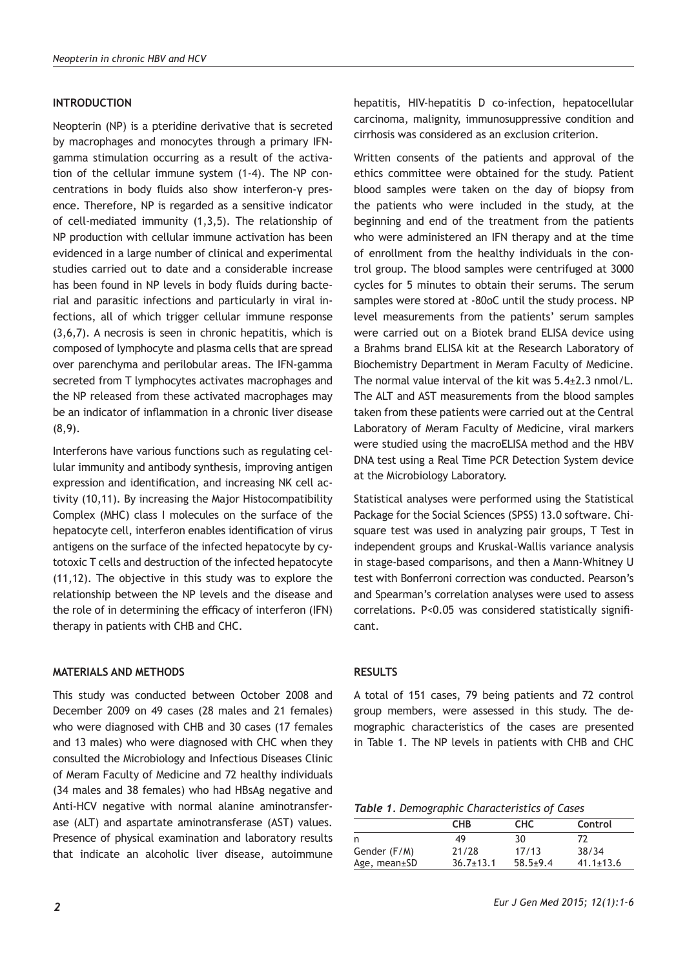# **INTRODUCTION**

Neopterin (NP) is a pteridine derivative that is secreted by macrophages and monocytes through a primary IFNgamma stimulation occurring as a result of the activation of the cellular immune system (1-4). The NP concentrations in body fluids also show interferon-γ presence. Therefore, NP is regarded as a sensitive indicator of cell-mediated immunity (1,3,5). The relationship of NP production with cellular immune activation has been evidenced in a large number of clinical and experimental studies carried out to date and a considerable increase has been found in NP levels in body fluids during bacterial and parasitic infections and particularly in viral infections, all of which trigger cellular immune response (3,6,7). A necrosis is seen in chronic hepatitis, which is composed of lymphocyte and plasma cells that are spread over parenchyma and perilobular areas. The IFN-gamma secreted from T lymphocytes activates macrophages and the NP released from these activated macrophages may be an indicator of inflammation in a chronic liver disease (8,9).

Interferons have various functions such as regulating cellular immunity and antibody synthesis, improving antigen expression and identification, and increasing NK cell activity (10,11). By increasing the Major Histocompatibility Complex (MHC) class I molecules on the surface of the hepatocyte cell, interferon enables identification of virus antigens on the surface of the infected hepatocyte by cytotoxic T cells and destruction of the infected hepatocyte (11,12). The objective in this study was to explore the relationship between the NP levels and the disease and the role of in determining the efficacy of interferon (IFN) therapy in patients with CHB and CHC.

# **MATERIALS AND METHODS**

This study was conducted between October 2008 and December 2009 on 49 cases (28 males and 21 females) who were diagnosed with CHB and 30 cases (17 females and 13 males) who were diagnosed with CHC when they consulted the Microbiology and Infectious Diseases Clinic of Meram Faculty of Medicine and 72 healthy individuals (34 males and 38 females) who had HBsAg negative and Anti-HCV negative with normal alanine aminotransferase (ALT) and aspartate aminotransferase (AST) values. Presence of physical examination and laboratory results that indicate an alcoholic liver disease, autoimmune

*2*

hepatitis, HIV-hepatitis D co-infection, hepatocellular carcinoma, malignity, immunosuppressive condition and cirrhosis was considered as an exclusion criterion.

Written consents of the patients and approval of the ethics committee were obtained for the study. Patient blood samples were taken on the day of biopsy from the patients who were included in the study, at the beginning and end of the treatment from the patients who were administered an IFN therapy and at the time of enrollment from the healthy individuals in the control group. The blood samples were centrifuged at 3000 cycles for 5 minutes to obtain their serums. The serum samples were stored at -80oC until the study process. NP level measurements from the patients' serum samples were carried out on a Biotek brand ELISA device using a Brahms brand ELISA kit at the Research Laboratory of Biochemistry Department in Meram Faculty of Medicine. The normal value interval of the kit was 5.4±2.3 nmol/L. The ALT and AST measurements from the blood samples taken from these patients were carried out at the Central Laboratory of Meram Faculty of Medicine, viral markers were studied using the macroELISA method and the HBV DNA test using a Real Time PCR Detection System device at the Microbiology Laboratory.

Statistical analyses were performed using the Statistical Package for the Social Sciences (SPSS) 13.0 software. Chisquare test was used in analyzing pair groups, T Test in independent groups and Kruskal-Wallis variance analysis in stage-based comparisons, and then a Mann-Whitney U test with Bonferroni correction was conducted. Pearson's and Spearman's correlation analyses were used to assess correlations. P<0.05 was considered statistically significant.

# **RESULTS**

A total of 151 cases, 79 being patients and 72 control group members, were assessed in this study. The demographic characteristics of the cases are presented in Table 1. The NP levels in patients with CHB and CHC

*Table 1. Demographic Characteristics of Cases*

|                    | <b>CHB</b>      | <b>CHC</b> | Control         |
|--------------------|-----------------|------------|-----------------|
| n                  | 49              | 30         | 72              |
| Gender (F/M)       | 21/28           | 17/13      | 38/34           |
| Age, $mean \pm SD$ | $36.7 \pm 13.1$ | $58.5+9.4$ | $41.1 \pm 13.6$ |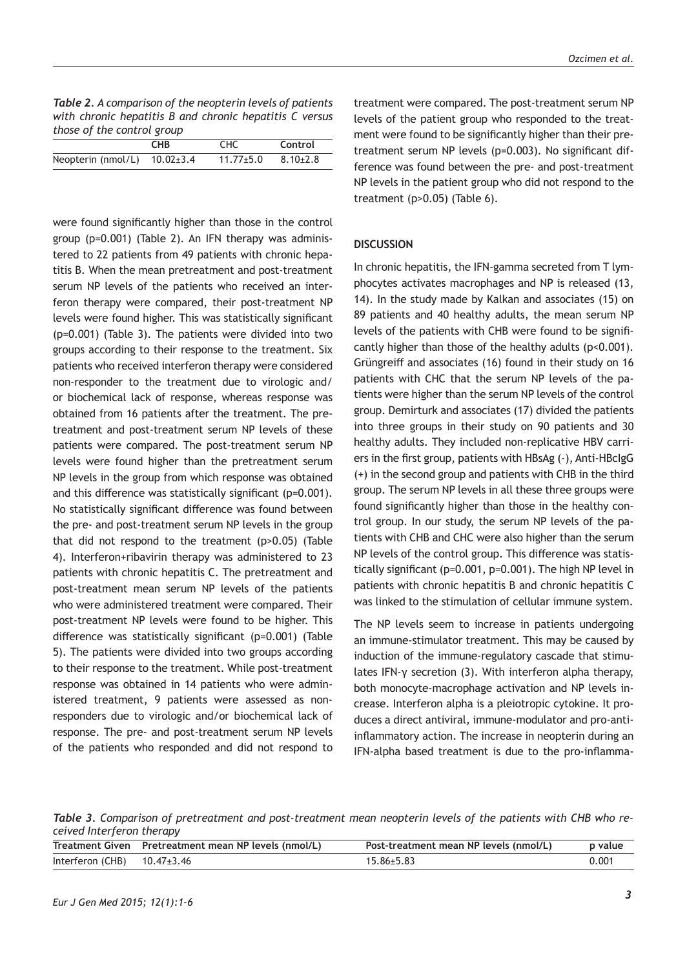| <b>Table 2.</b> A comparison of the neopterin levels of patients |
|------------------------------------------------------------------|
| with chronic hepatitis B and chronic hepatitis C versus          |
| those of the control group                                       |

|                                    | <b>CHB</b> | CHC             | Control        |
|------------------------------------|------------|-----------------|----------------|
| Neopterin (nmol/L) $10.02 \pm 3.4$ |            | $11.77 \pm 5.0$ | $8.10{\pm}2.8$ |
|                                    |            |                 |                |

were found significantly higher than those in the control group (p=0.001) (Table 2). An IFN therapy was administered to 22 patients from 49 patients with chronic hepatitis B. When the mean pretreatment and post-treatment serum NP levels of the patients who received an interferon therapy were compared, their post-treatment NP levels were found higher. This was statistically significant (p=0.001) (Table 3). The patients were divided into two groups according to their response to the treatment. Six patients who received interferon therapy were considered non-responder to the treatment due to virologic and/ or biochemical lack of response, whereas response was obtained from 16 patients after the treatment. The pretreatment and post-treatment serum NP levels of these patients were compared. The post-treatment serum NP levels were found higher than the pretreatment serum NP levels in the group from which response was obtained and this difference was statistically significant (p=0.001). No statistically significant difference was found between the pre- and post-treatment serum NP levels in the group that did not respond to the treatment (p>0.05) (Table 4). Interferon+ribavirin therapy was administered to 23 patients with chronic hepatitis C. The pretreatment and post-treatment mean serum NP levels of the patients who were administered treatment were compared. Their post-treatment NP levels were found to be higher. This difference was statistically significant (p=0.001) (Table 5). The patients were divided into two groups according to their response to the treatment. While post-treatment response was obtained in 14 patients who were administered treatment, 9 patients were assessed as nonresponders due to virologic and/or biochemical lack of response. The pre- and post-treatment serum NP levels of the patients who responded and did not respond to treatment were compared. The post-treatment serum NP levels of the patient group who responded to the treatment were found to be significantly higher than their pretreatment serum NP levels (p=0.003). No significant difference was found between the pre- and post-treatment NP levels in the patient group who did not respond to the treatment (p>0.05) (Table 6).

## **DISCUSSION**

In chronic hepatitis, the IFN-gamma secreted from T lymphocytes activates macrophages and NP is released (13, 14). In the study made by Kalkan and associates (15) on 89 patients and 40 healthy adults, the mean serum NP levels of the patients with CHB were found to be significantly higher than those of the healthy adults (p<0.001). Grüngreiff and associates (16) found in their study on 16 patients with CHC that the serum NP levels of the patients were higher than the serum NP levels of the control group. Demirturk and associates (17) divided the patients into three groups in their study on 90 patients and 30 healthy adults. They included non-replicative HBV carriers in the first group, patients with HBsAg (-), Anti-HBcIgG (+) in the second group and patients with CHB in the third group. The serum NP levels in all these three groups were found significantly higher than those in the healthy control group. In our study, the serum NP levels of the patients with CHB and CHC were also higher than the serum NP levels of the control group. This difference was statistically significant (p=0.001, p=0.001). The high NP level in patients with chronic hepatitis B and chronic hepatitis C was linked to the stimulation of cellular immune system.

The NP levels seem to increase in patients undergoing an immune-stimulator treatment. This may be caused by induction of the immune-regulatory cascade that stimulates IFN-γ secretion (3). With interferon alpha therapy, both monocyte-macrophage activation and NP levels increase. Interferon alpha is a pleiotropic cytokine. It produces a direct antiviral, immune-modulator and pro-antiinflammatory action. The increase in neopterin during an IFN-alpha based treatment is due to the pro-inflamma-

*Table 3. Comparison of pretreatment and post-treatment mean neopterin levels of the patients with CHB who received Interferon therapy*

|                                 | Treatment Given Pretreatment mean NP levels (nmol/L) | Post-treatment mean NP levels (nmol/L) | p value |
|---------------------------------|------------------------------------------------------|----------------------------------------|---------|
| Interferon (CHB) $10.47\pm3.46$ |                                                      | $15.86 + 5.83$                         | 0.001   |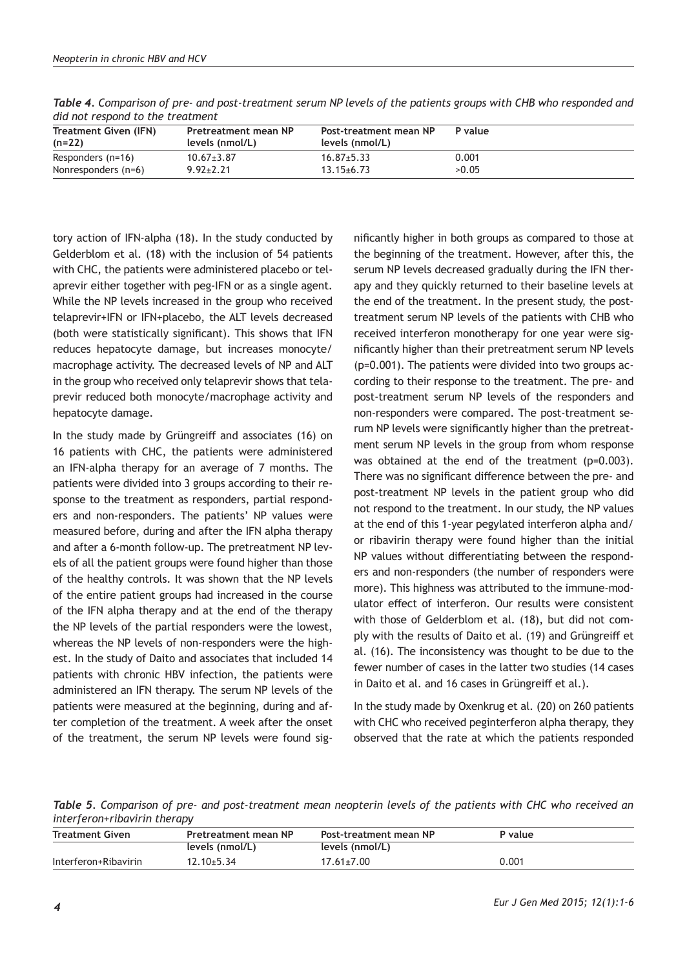| <b>Treatment Given (IFN)</b><br>$(n=22)$ | Pretreatment mean NP<br>levels (nmol/L) | Post-treatment mean NP<br>levels (nmol/L) | P value |  |
|------------------------------------------|-----------------------------------------|-------------------------------------------|---------|--|
| Responders (n=16)                        | $10.67 \pm 3.87$                        | $16.87 \pm 5.33$                          | 0.001   |  |
| Nonresponders (n=6)                      | $9.92 \pm 2.21$                         | $13.15 \pm 6.73$                          | >0.05   |  |
|                                          |                                         |                                           |         |  |

*Table 4. Comparison of pre- and post-treatment serum NP levels of the patients groups with CHB who responded and did not respond to the treatment*

tory action of IFN-alpha (18). In the study conducted by Gelderblom et al. (18) with the inclusion of 54 patients with CHC, the patients were administered placebo or telaprevir either together with peg-IFN or as a single agent. While the NP levels increased in the group who received telaprevir+IFN or IFN+placebo, the ALT levels decreased (both were statistically significant). This shows that IFN reduces hepatocyte damage, but increases monocyte/ macrophage activity. The decreased levels of NP and ALT in the group who received only telaprevir shows that telaprevir reduced both monocyte/macrophage activity and hepatocyte damage.

In the study made by Grüngreiff and associates (16) on 16 patients with CHC, the patients were administered an IFN-alpha therapy for an average of 7 months. The patients were divided into 3 groups according to their response to the treatment as responders, partial responders and non-responders. The patients' NP values were measured before, during and after the IFN alpha therapy and after a 6-month follow-up. The pretreatment NP levels of all the patient groups were found higher than those of the healthy controls. It was shown that the NP levels of the entire patient groups had increased in the course of the IFN alpha therapy and at the end of the therapy the NP levels of the partial responders were the lowest, whereas the NP levels of non-responders were the highest. In the study of Daito and associates that included 14 patients with chronic HBV infection, the patients were administered an IFN therapy. The serum NP levels of the patients were measured at the beginning, during and after completion of the treatment. A week after the onset of the treatment, the serum NP levels were found sig-

nificantly higher in both groups as compared to those at the beginning of the treatment. However, after this, the serum NP levels decreased gradually during the IFN therapy and they quickly returned to their baseline levels at the end of the treatment. In the present study, the posttreatment serum NP levels of the patients with CHB who received interferon monotherapy for one year were significantly higher than their pretreatment serum NP levels (p=0.001). The patients were divided into two groups according to their response to the treatment. The pre- and post-treatment serum NP levels of the responders and non-responders were compared. The post-treatment serum NP levels were significantly higher than the pretreatment serum NP levels in the group from whom response was obtained at the end of the treatment (p=0.003). There was no significant difference between the pre- and post-treatment NP levels in the patient group who did not respond to the treatment. In our study, the NP values at the end of this 1-year pegylated interferon alpha and/ or ribavirin therapy were found higher than the initial NP values without differentiating between the responders and non-responders (the number of responders were more). This highness was attributed to the immune-modulator effect of interferon. Our results were consistent with those of Gelderblom et al. (18), but did not comply with the results of Daito et al. (19) and Grüngreiff et al. (16). The inconsistency was thought to be due to the fewer number of cases in the latter two studies (14 cases in Daito et al. and 16 cases in Grüngreiff et al.).

In the study made by Oxenkrug et al. (20) on 260 patients with CHC who received peginterferon alpha therapy, they observed that the rate at which the patients responded

*Table 5. Comparison of pre- and post-treatment mean neopterin levels of the patients with CHC who received an interferon+ribavirin therapy*

| <b>Treatment Given</b> | Pretreatment mean NP | Post-treatment mean NP | P value |  |
|------------------------|----------------------|------------------------|---------|--|
|                        | levels (nmol/L)      | levels (nmol/L)        |         |  |
| Interferon+Ribavirin   | $12.10 \pm 5.34$     | $17.61 \pm 7.00$       | 0.001   |  |
|                        |                      |                        |         |  |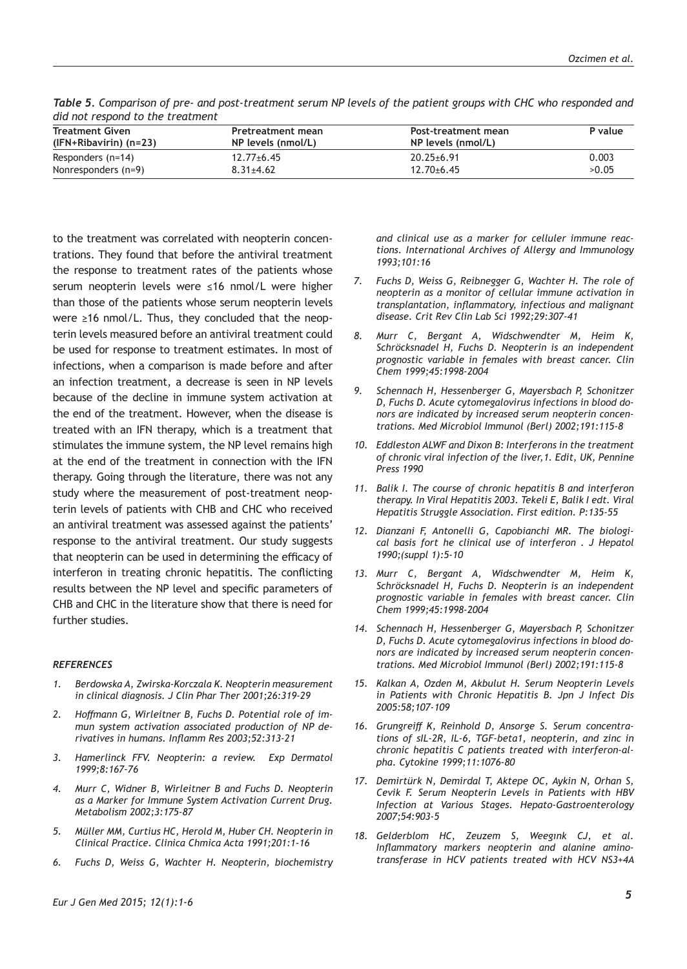| ara not respond to the treatment |                    |                     |         |  |
|----------------------------------|--------------------|---------------------|---------|--|
| <b>Treatment Given</b>           | Pretreatment mean  | Post-treatment mean | P value |  |
| (IFN+Ribavirin) (n=23)           | NP levels (nmol/L) | NP levels (nmol/L)  |         |  |
| Responders $(n=14)$              | $12.77 \pm 6.45$   | $20.25 \pm 6.91$    | 0.003   |  |
| Nonresponders (n=9)              | $8.31 + 4.62$      | $12.70 + 6.45$      | >0.05   |  |
|                                  |                    |                     |         |  |

*Table 5. Comparison of pre- and post-treatment serum NP levels of the patient groups with CHC who responded and did not respond to the treatment* 

to the treatment was correlated with neopterin concentrations. They found that before the antiviral treatment the response to treatment rates of the patients whose serum neopterin levels were ≤16 nmol/L were higher than those of the patients whose serum neopterin levels were ≥16 nmol/L. Thus, they concluded that the neopterin levels measured before an antiviral treatment could be used for response to treatment estimates. In most of infections, when a comparison is made before and after an infection treatment, a decrease is seen in NP levels because of the decline in immune system activation at the end of the treatment. However, when the disease is treated with an IFN therapy, which is a treatment that stimulates the immune system, the NP level remains high at the end of the treatment in connection with the IFN therapy. Going through the literature, there was not any study where the measurement of post-treatment neopterin levels of patients with CHB and CHC who received an antiviral treatment was assessed against the patients' response to the antiviral treatment. Our study suggests that neopterin can be used in determining the efficacy of interferon in treating chronic hepatitis. The conflicting results between the NP level and specific parameters of CHB and CHC in the literature show that there is need for further studies.

## *REFERENCES*

- *1. Berdowska A, Zwirska-Korczala K. Neopterin measurement in clinical diagnosis. J Clin Phar Ther 2001;26:319-29*
- *2. Hoffmann G, Wirleitner B, Fuchs D. Potential role of immun system activation associated production of NP derivatives in humans. Inflamm Res 2003;52:313-21*
- *3. Hamerlinck FFV. Neopterin: a review. Exp Dermatol 1999;8:167–76*
- *4. Murr C, Widner B, Wirleitner B and Fuchs D. Neopterin as a Marker for Immune System Activation Current Drug. Metabolism 2002;3:175-87*
- *5. Müller MM, Curtius HC, Herold M, Huber CH. Neopterin in Clinical Practice. Clinica Chmica Acta 1991;201:1-16*
- *6. Fuchs D, Weiss G, Wachter H. Neopterin, biochemistry*

*and clinical use as a marker for celluler immune reactions. International Archives of Allergy and Immunology 1993;101:16*

- *7. Fuchs D, Weiss G, Reibnegger G, Wachter H. The role of neopterin as a monitor of cellular immune activation in transplantation, inflammatory, infectious and malignant disease. Crit Rev Clin Lab Sci 1992;29:307-41*
- *8. Murr C, Bergant A, Widschwendter M, Heim K, Schröcksnadel H, Fuchs D. Neopterin is an independent prognostic variable in females with breast cancer. Clin Chem 1999;45:1998-2004*
- *9. Schennach H, Hessenberger G, Mayersbach P, Schonitzer D, Fuchs D. Acute cytomegalovirus infections in blood donors are indicated by increased serum neopterin concentrations. Med Microbiol Immunol (Berl) 2002;191:115-8*
- *10. Eddleston ALWF and Dixon B: Interferons in the treatment of chronic viral infection of the liver,1. Edit, UK, Pennine Press 1990*
- *11. Balik I. The course of chronic hepatitis B and interferon therapy. In Viral Hepatitis 2003. Tekeli E, Balik I edt. Viral Hepatitis Struggle Association. First edition. P:135-55*
- *12. Dianzani F, Antonelli G, Capobianchi MR. The biological basis fort he clinical use of interferon . J Hepatol 1990;(suppl 1):5-10*
- *13. Murr C, Bergant A, Widschwendter M, Heim K, Schröcksnadel H, Fuchs D. Neopterin is an independent prognostic variable in females with breast cancer. Clin Chem 1999;45:1998-2004*
- *14. Schennach H, Hessenberger G, Mayersbach P, Schonitzer D, Fuchs D. Acute cytomegalovirus infections in blood donors are indicated by increased serum neopterin concentrations. Med Microbiol Immunol (Berl) 2002;191:115-8*
- *15. Kalkan A, Ozden M, Akbulut H. Serum Neopterin Levels in Patients with Chronic Hepatitis B. Jpn J Infect Dis 2005:58;107-109*
- *16. Grungreiff K, Reinhold D, Ansorge S. Serum concentrations of sIL-2R, IL-6, TGF-beta1, neopterin, and zinc in chronic hepatitis C patients treated with interferon-alpha. Cytokine 1999;11:1076-80*
- *17. Demirtürk N, Demirdal T, Aktepe OC, Aykin N, Orhan S, Cevik F. Serum Neopterin Levels in Patients with HBV Infection at Various Stages. Hepato-Gastroenterology 2007;54:903-5*
- *18. Gelderblom HC, Zeuzem S, Weegınk CJ, et al. Inflammatory markers neopterin and alanine aminotransferase in HCV patients treated with HCV NS3+4A*